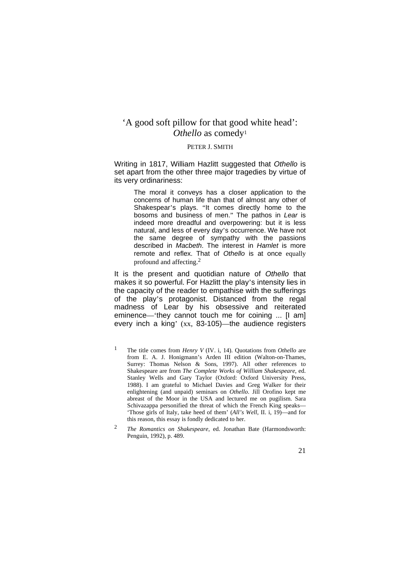# 'A good soft pillow for that good white head': *Othello* as comedy1

## PETER J. SMITH

Writing in 1817, William Hazlitt suggested that *Othello* is set apart from the other three major tragedies by virtue of its very ordinariness:

> The moral it conveys has a closer application to the concerns of human life than that of almost any other of Shakespear's plays. "It comes directly home to the bosoms and business of men." The pathos in *Lear* is indeed more dreadful and overpowering: but it is less natural, and less of every day's occurrence. We have not the same degree of sympathy with the passions described in *Macbeth*. The interest in *Hamlet* is more remote and reflex. That of *Othello* is at once equally profound and affecting.2

It is the present and quotidian nature of *Othello* that makes it so powerful. For Hazlitt the play's intensity lies in the capacity of the reader to empathise with the sufferings of the play's protagonist. Distanced from the regal madness of Lear by his obsessive and reiterated eminence—'they cannot touch me for coining ... [I am] every inch a king' (xx, 83-105)—the audience registers

<sup>1</sup> The title comes from *Henry V* (IV. i, 14). Quotations from *Othello* are from E. A. J. Honigmann's Arden III edition (Walton-on-Thames, Surrey: Thomas Nelson & Sons, 1997). All other references to Shakespeare are from *The Complete Works of William Shakespeare*, ed. Stanley Wells and Gary Taylor (Oxford: Oxford University Press, 1988). I am grateful to Michael Davies and Greg Walker for their enlightening (and unpaid) seminars on *Othello*. Jill Orofino kept me abreast of the Moor in the USA and lectured me on pugilism. Sara Schivazappa personified the threat of which the French King speaks— 'Those girls of Italy, take heed of them' (*All's Well*, II. i, 19)—and for this reason, this essay is fondly dedicated to her.

<sup>2</sup> *The Romantics on Shakespeare*, ed. Jonathan Bate (Harmondsworth: Penguin, 1992), p. 489.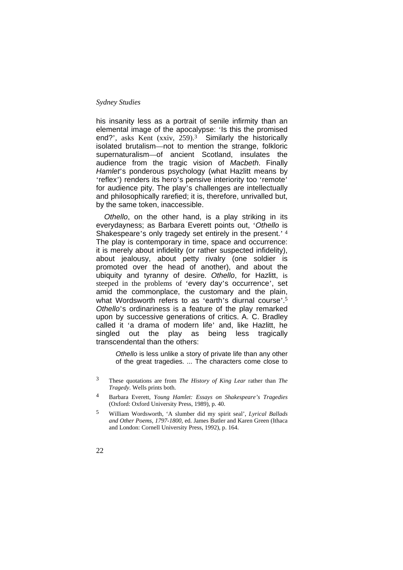his insanity less as a portrait of senile infirmity than an elemental image of the apocalypse: 'Is this the promised end?', asks Kent (xxiv, 259).<sup>3</sup> Similarly the historically isolated brutalism—not to mention the strange, folkloric supernaturalism—of ancient Scotland, insulates the audience from the tragic vision of *Macbeth*. Finally *Hamlet*'s ponderous psychology (what Hazlitt means by 'reflex') renders its hero's pensive interiority too 'remote' for audience pity. The play's challenges are intellectually and philosophically rarefied; it is, therefore, unrivalled but, by the same token, inaccessible.

*Othello*, on the other hand, is a play striking in its everydayness; as Barbara Everett points out, '*Othello* is Shakespeare's only tragedy set entirely in the present.' <sup>4</sup> The play is contemporary in time, space and occurrence: it is merely about infidelity (or rather suspected infidelity), about jealousy, about petty rivalry (one soldier is promoted over the head of another), and about the ubiquity and tyranny of desire. *Othello*, for Hazlitt, is steeped in the problems of 'every day's occurrence', set amid the commonplace, the customary and the plain, what Wordsworth refers to as 'earth's diurnal course'.<sup>5</sup> *Othello*'s ordinariness is a feature of the play remarked upon by successive generations of critics. A. C. Bradley called it 'a drama of modern life' and, like Hazlitt, he singled out the play as being less tragically transcendental than the others:

*Othello* is less unlike a story of private life than any other of the great tragedies. ... The characters come close to

- 3 These quotations are from *The History of King Lear* rather than *The Tragedy*. Wells prints both.
- 4 Barbara Everett, *Young Hamlet: Essays on Shakespeare's Tragedies* (Oxford: Oxford University Press, 1989), p. 40.
- 5 William Wordsworth, 'A slumber did my spirit seal', *Lyrical Ballads and Other Poems, 1797-1800*, ed. James Butler and Karen Green (Ithaca and London: Cornell University Press, 1992), p. 164.
- 22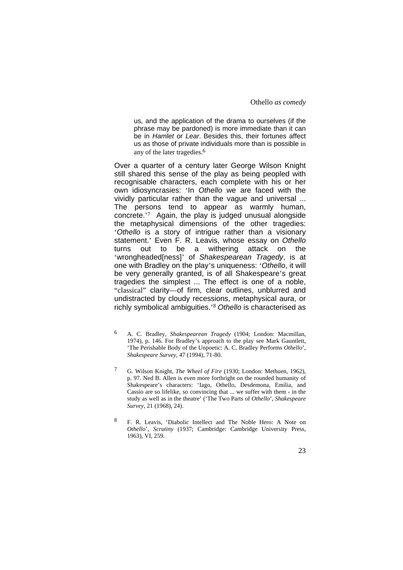us, and the application of the drama to ourselves (if the phrase may be pardoned) is more immediate than it can be in *Hamlet* or *Lear*. Besides this, their fortunes affect us as those of private individuals more than is possible in any of the later tragedies.6

Over a quarter of a century later George Wilson Knight still shared this sense of the play as being peopled with recognisable characters, each complete with his or her own idiosyncrasies: 'In *Othello* we are faced with the vividly particular rather than the vague and universal ... The persons tend to appear as warmly human, concrete.'7 Again, the play is judged unusual alongside the metaphysical dimensions of the other tragedies: '*Othello* is a story of intrigue rather than a visionary statement.' Even F. R. Leavis, whose essay on *Othello* turns out to be a withering attack on the 'wrongheaded[ness]' of *Shakespearean Tragedy*, is at one with Bradley on the play's uniqueness: '*Othello*, it will be very generally granted, is of all Shakespeare's great tragedies the simplest ... The effect is one of a noble, "classical" clarity—of firm, clear outlines, unblurred and undistracted by cloudy recessions, metaphysical aura, or richly symbolical ambiguities.'8 *Othello* is characterised as

<sup>6</sup> A. C. Bradley, *Shakespearean Tragedy* (1904; London: Macmillan, 1974), p. 146. For Bradley's approach to the play see Mark Gauntlett, 'The Perishable Body of the Unpoetic: A. C. Bradley Performs *Othello*', *Shakespeare Survey*, 47 (1994), 71-80.

<sup>7</sup> G. Wilson Knight, *The Wheel of Fire* (1930; London: Methuen, 1962), p. 97. Ned B. Allen is even more forthright on the rounded humanity of Shakespeare's characters: 'Iago, Othello, Desdemona, Emilia, and Cassio are so lifelike, so convincing that ... we suffer with them - in the study as well as in the theatre' ('The Two Parts of *Othello*', *Shakespeare Survey*, 21 (1968), 24).

<sup>8</sup> F. R. Leavis, 'Diabolic Intellect and The Noble Hero: A Note on *Othello*', *Scrutiny* (1937; Cambridge: Cambridge University Press, 1963), VI, 259.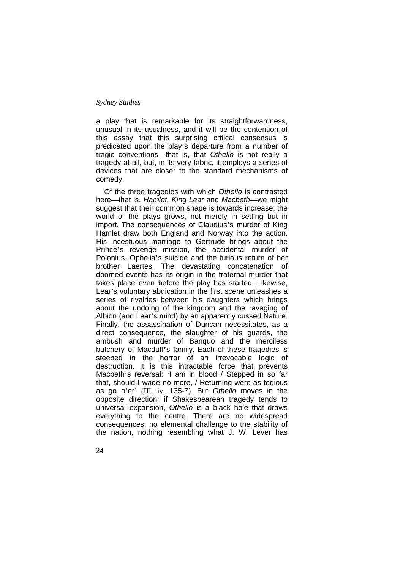a play that is remarkable for its straightforwardness, unusual in its usualness, and it will be the contention of this essay that this surprising critical consensus is predicated upon the play's departure from a number of tragic conventions—that is, that *Othello* is not really a tragedy at all, but, in its very fabric, it employs a series of devices that are closer to the standard mechanisms of comedy.

Of the three tragedies with which *Othello* is contrasted here—that is, *Hamlet, King Lear* and *Macbeth*—we might suggest that their common shape is towards increase; the world of the plays grows, not merely in setting but in import. The consequences of Claudius's murder of King Hamlet draw both England and Norway into the action. His incestuous marriage to Gertrude brings about the Prince's revenge mission, the accidental murder of Polonius, Ophelia's suicide and the furious return of her brother Laertes. The devastating concatenation of doomed events has its origin in the fraternal murder that takes place even before the play has started. Likewise, Lear's voluntary abdication in the first scene unleashes a series of rivalries between his daughters which brings about the undoing of the kingdom and the ravaging of Albion (and Lear's mind) by an apparently cussed Nature. Finally, the assassination of Duncan necessitates, as a direct consequence, the slaughter of his guards, the ambush and murder of Banquo and the merciless butchery of Macduff's family. Each of these tragedies is steeped in the horror of an irrevocable logic of destruction. It is this intractable force that prevents Macbeth's reversal: 'I am in blood / Stepped in so far that, should I wade no more, / Returning were as tedious as go o'er' (III. iv, 135-7). But *Othello* moves in the opposite direction; if Shakespearean tragedy tends to universal expansion, *Othello* is a black hole that draws everything to the centre. There are no widespread consequences, no elemental challenge to the stability of the nation, nothing resembling what J. W. Lever has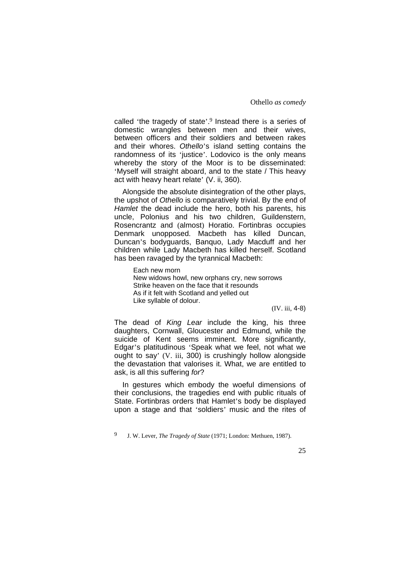called 'the tragedy of state'.9 Instead there is a series of domestic wrangles between men and their wives, between officers and their soldiers and between rakes and their whores. *Othello*'s island setting contains the randomness of its 'justice'. Lodovico is the only means whereby the story of the Moor is to be disseminated: 'Myself will straight aboard, and to the state / This heavy act with heavy heart relate' (V. ii, 360).

Alongside the absolute disintegration of the other plays, the upshot of *Othello* is comparatively trivial. By the end of *Hamlet* the dead include the hero, both his parents, his uncle, Polonius and his two children, Guildenstern, Rosencrantz and (almost) Horatio. Fortinbras occupies Denmark unopposed. Macbeth has killed Duncan, Duncan's bodyguards, Banquo, Lady Macduff and her children while Lady Macbeth has killed herself. Scotland has been ravaged by the tyrannical Macbeth:

Each new morn New widows howl, new orphans cry, new sorrows Strike heaven on the face that it resounds As if it felt with Scotland and yelled out Like syllable of dolour.

(IV. iii, 4-8)

The dead of *King Lear* include the king, his three daughters, Cornwall, Gloucester and Edmund, while the suicide of Kent seems imminent. More significantly, Edgar's platitudinous 'Speak what we feel, not what we ought to say' (V. iii, 300) is crushingly hollow alongside the devastation that valorises it. What, we are entitled to ask, is all this suffering *for*?

In gestures which embody the woeful dimensions of their conclusions, the tragedies end with public rituals of State. Fortinbras orders that Hamlet's body be displayed upon a stage and that 'soldiers' music and the rites of

<sup>9</sup> J. W. Lever, *The Tragedy of State* (1971; London: Methuen, 1987).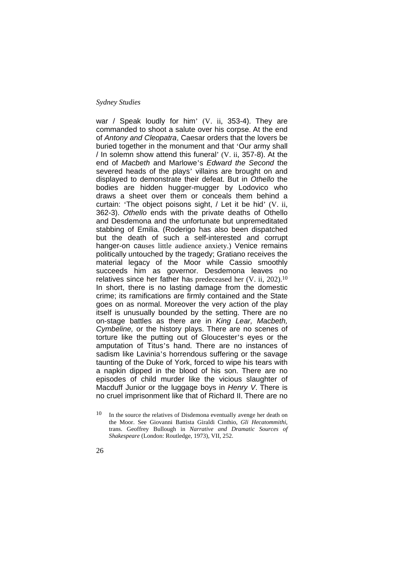war / Speak loudly for him' (V. ii, 353-4). They are commanded to shoot a salute over his corpse. At the end of *Antony and Cleopatra*, Caesar orders that the lovers be buried together in the monument and that 'Our army shall / In solemn show attend this funeral' (V. ii, 357-8). At the end of *Macbeth* and Marlowe's *Edward the Second* the severed heads of the plays' villains are brought on and displayed to demonstrate their defeat. But in *Othello* the bodies are hidden hugger-mugger by Lodovico who draws a sheet over them or conceals them behind a curtain: 'The object poisons sight, / Let it be hid' (V. ii, 362-3). *Othello* ends with the private deaths of Othello and Desdemona and the unfortunate but unpremeditated stabbing of Emilia. (Roderigo has also been dispatched but the death of such a self-interested and corrupt hanger-on causes little audience anxiety.) Venice remains politically untouched by the tragedy; Gratiano receives the material legacy of the Moor while Cassio smoothly succeeds him as governor. Desdemona leaves no relatives since her father has predeceased her (V. ii, 202).10 In short, there is no lasting damage from the domestic crime; its ramifications are firmly contained and the State goes on as normal. Moreover the very action of the play itself is unusually bounded by the setting. There are no on-stage battles as there are in *King Lear, Macbeth, Cymbeline,* or the history plays. There are no scenes of torture like the putting out of Gloucester's eyes or the amputation of Titus's hand. There are no instances of sadism like Lavinia's horrendous suffering or the savage taunting of the Duke of York, forced to wipe his tears with a napkin dipped in the blood of his son. There are no episodes of child murder like the vicious slaughter of Macduff Junior or the luggage boys in *Henry V*. There is no cruel imprisonment like that of Richard II. There are no

 $10$  In the source the relatives of Disdemona eventually avenge her death on the Moor. See Giovanni Battista Giraldi Cinthio, *Gli Hecatommithi*, trans. Geoffrey Bullough in *Narrative and Dramatic Sources of Shakespeare* (London: Routledge, 1973), VII, 252.

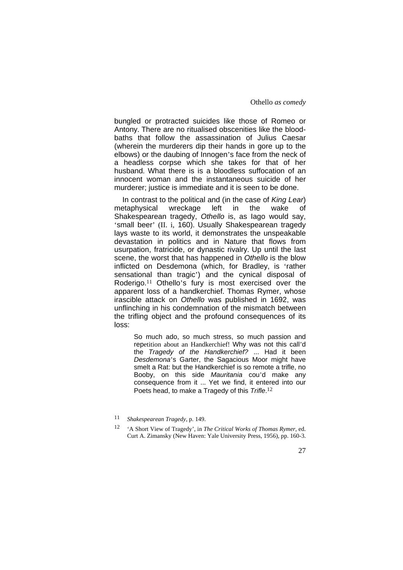bungled or protracted suicides like those of Romeo or Antony. There are no ritualised obscenities like the bloodbaths that follow the assassination of Julius Caesar (wherein the murderers dip their hands in gore up to the elbows) or the daubing of Innogen's face from the neck of a headless corpse which she takes for that of her husband. What there is is a bloodless suffocation of an innocent woman and the instantaneous suicide of her murderer; justice is immediate and it is seen to be done.

In contrast to the political and (in the case of *King Lear*) metaphysical wreckage left in the wake of Shakespearean tragedy, *Othello* is, as Iago would say, 'small beer' (II. i, 160). Usually Shakespearean tragedy lays waste to its world, it demonstrates the unspeakable devastation in politics and in Nature that flows from usurpation, fratricide, or dynastic rivalry. Up until the last scene, the worst that has happened in *Othello* is the blow inflicted on Desdemona (which, for Bradley, is 'rather sensational than tragic') and the cynical disposal of Roderigo.<sup>11</sup> Othello's fury is most exercised over the apparent loss of a handkerchief. Thomas Rymer, whose irascible attack on *Othello* was published in 1692, was unflinching in his condemnation of the mismatch between the trifling object and the profound consequences of its loss:

So much ado, so much stress, so much passion and repetition about an Handkerchief! Why was not this call'd the *Tragedy of the Handkerchief?* ... Had it been *Desdemona*'s Garter, the Sagacious Moor might have smelt a Rat: but the Handkerchief is so remote a trifle, no Booby, on this side *Mauritania* cou'd make any consequence from it ... Yet we find, it entered into our Poets head, to make a Tragedy of this *Trifle*. 12

<sup>11</sup> *Shakespearean Tragedy*, p. 149.

<sup>12 &#</sup>x27;A Short View of Tragedy', in *The Critical Works of Thomas Rymer*, ed. Curt A. Zimansky (New Haven: Yale University Press, 1956), pp. 160-3.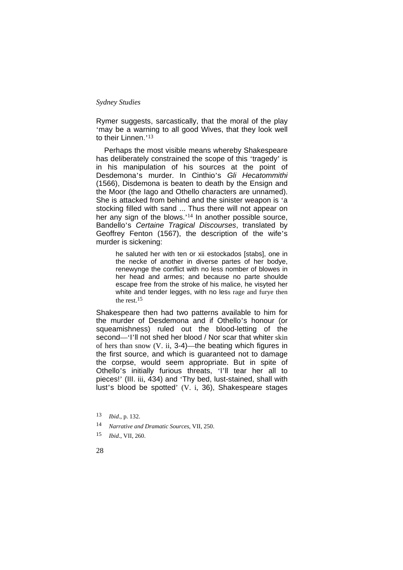Rymer suggests, sarcastically, that the moral of the play 'may be a warning to all good Wives, that they look well to their Linnen.'<sup>13</sup>

Perhaps the most visible means whereby Shakespeare has deliberately constrained the scope of this 'tragedy' is in his manipulation of his sources at the point of Desdemona's murder. In Cinthio's *Gli Hecatommithi* (1566), Disdemona is beaten to death by the Ensign and the Moor (the Iago and Othello characters are unnamed). She is attacked from behind and the sinister weapon is 'a stocking filled with sand ... Thus there will not appear on her any sign of the blows.'<sup>14</sup> In another possible source, Bandello's *Certaine Tragical Discourses*, translated by Geoffrey Fenton (1567), the description of the wife's murder is sickening:

> he saluted her with ten or xii estockados [stabs], one in the necke of another in diverse partes of her bodye, renewynge the conflict with no less nomber of blowes in her head and armes; and because no parte shoulde escape free from the stroke of his malice, he visyted her white and tender legges, with no less rage and furye then the rest.15

Shakespeare then had two patterns available to him for the murder of Desdemona and if Othello's honour (or squeamishness) ruled out the blood-letting of the second—'I'll not shed her blood / Nor scar that whiter skin of hers than snow (V. ii, 3-4)—the beating which figures in the first source, and which is guaranteed not to damage the corpse, would seem appropriate. But in spite of Othello's initially furious threats, 'I'll tear her all to pieces!' (III. iii, 434) and 'Thy bed, lust-stained, shall with lust's blood be spotted' (V. i, 36), Shakespeare stages

<sup>13</sup> *Ibid*., p. 132.

<sup>14</sup> *Narrative and Dramatic Sources*, VII, 250.

<sup>15</sup> *Ibid*., VII, 260.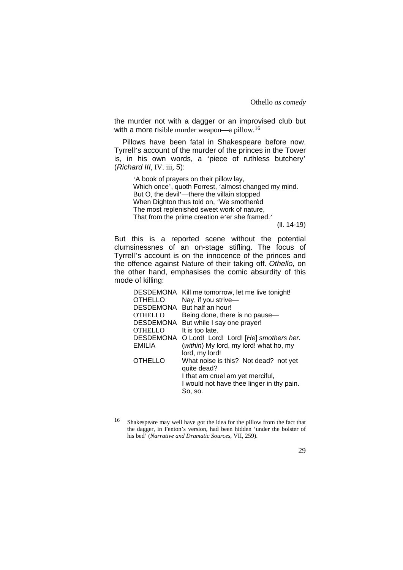the murder not with a dagger or an improvised club but with a more risible murder weapon—a pillow.<sup>16</sup>

Pillows have been fatal in Shakespeare before now. Tyrrell's account of the murder of the princes in the Tower is, in his own words, a 'piece of ruthless butchery' (*Richard III*, IV. iii, 5):

> 'A book of prayers on their pillow lay, Which once', quoth Forrest, 'almost changed my mind. But O, the devil'—there the villain stopped When Dighton thus told on, 'We smotherèd The most replenishèd sweet work of nature, That from the prime creation e'er she framed.'

(ll. 14-19)

But this is a reported scene without the potential clumsinessnes of an on-stage stifling. The focus of Tyrrell's account is on the innocence of the princes and the offence against Nature of their taking off. *Othello*, on the other hand, emphasises the comic absurdity of this mode of killing:

|         | DESDEMONA Kill me tomorrow, let me live tonight!     |
|---------|------------------------------------------------------|
| OTHELLO | Nay, if you strive-                                  |
|         | DESDEMONA But half an hour!                          |
| OTHELLO | Being done, there is no pause-                       |
|         | DESDEMONA But while I say one prayer!                |
| OTHELLO | It is too late.                                      |
|         | DESDEMONA O Lord! Lord! Lord! [He] smothers her.     |
| EMILIA  | (within) My lord, my lord! what ho, my               |
|         | lord, my lord!                                       |
| OTHELLO | What noise is this? Not dead? not yet<br>quite dead? |
|         | I that am cruel am yet merciful,                     |
|         | I would not have thee linger in thy pain.            |
|         | So, so.                                              |

<sup>16</sup> Shakespeare may well have got the idea for the pillow from the fact that the dagger, in Fenton's version, had been hidden 'under the bolster of his bed' (*Narrative and Dramatic Sources*, VII, 259).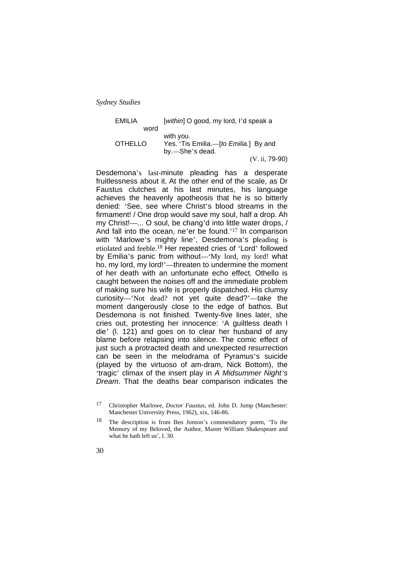| EMILIA         | [within] O good, my lord, I'd speak a          |
|----------------|------------------------------------------------|
| word           |                                                |
|                | with you.                                      |
| <b>OTHELLO</b> | Yes. 'Tis Emilia.- <i>[to Emilia.</i> ] By and |
|                | by.-She's dead.                                |
|                | $(V. ii, 79-90)$                               |

Desdemona's last-minute pleading has a desperate fruitlessness about it. At the other end of the scale, as Dr Faustus clutches at his last minutes, his language achieves the heavenly apotheosis that he is so bitterly denied: 'See, see where Christ's blood streams in the firmament! / One drop would save my soul, half a drop. Ah my Christ!—... O soul, be chang'd into little water drops, / And fall into the ocean, ne'er be found.'17 In comparison with 'Marlowe's mighty line', Desdemona's pleading is etiolated and feeble.18 Her repeated cries of 'Lord' followed by Emilia's panic from without—'My lord, my lord! what ho, my lord, my lord!'—threaten to undermine the moment of her death with an unfortunate echo effect. Othello is caught between the noises off and the immediate problem of making sure his wife is properly dispatched. His clumsy curiosity—'Not dead? not yet quite dead?'—take the moment dangerously close to the edge of bathos. But Desdemona is not finished. Twenty-five lines later, she cries out, protesting her innocence: 'A guiltless death I die' (l. 121) and goes on to clear her husband of any blame before relapsing into silence. The comic effect of just such a protracted death and unexpected resurrection can be seen in the melodrama of Pyramus's suicide (played by the virtuoso of am-dram, Nick Bottom), the 'tragic' climax of the insert play in *A Midsummer Night's Dream*. That the deaths bear comparison indicates the

<sup>17</sup> Christopher Marlowe, *Doctor Faustus*, ed. John D. Jump (Manchester: Manchester University Press, 1962), xix, 146-86.

<sup>18</sup> The description is from Ben Jonson's commendatory poem, 'To the Memory of my Beloved, the Author, Master William Shakespeare and what he hath left us', l. 30.

<sup>30</sup>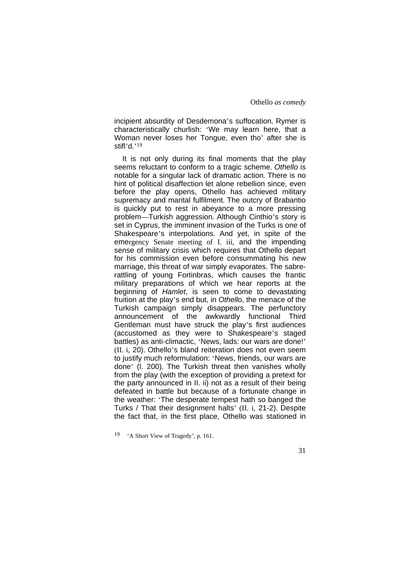incipient absurdity of Desdemona's suffocation. Rymer is characteristically churlish: 'We may learn here, that a Woman never loses her Tongue, even tho' after she is stifl'd.'19

It is not only during its final moments that the play seems reluctant to conform to a tragic scheme. *Othello* is notable for a singular lack of dramatic action. There is no hint of political disaffection let alone rebellion since, even before the play opens, Othello has achieved military supremacy and marital fulfilment. The outcry of Brabantio is quickly put to rest in abeyance to a more pressing problem—Turkish aggression. Although Cinthio's story is set in Cyprus, the imminent invasion of the Turks is one of Shakespeare's interpolations. And yet, in spite of the emergency Senate meeting of I. iii, and the impending sense of military crisis which requires that Othello depart for his commission even before consummating his new marriage, this threat of war simply evaporates. The sabrerattling of young Fortinbras, which causes the frantic military preparations of which we hear reports at the beginning of *Hamlet*, is seen to come to devastating fruition at the play's end but, in *Othello*, the menace of the Turkish campaign simply disappears. The perfunctory announcement of the awkwardly functional Third Gentleman must have struck the play's first audiences (accustomed as they were to Shakespeare's staged battles) as anti-climactic, 'News, lads: our wars are done!' (II. i, 20). Othello's bland reiteration does not even seem to justify much reformulation: 'News, friends, our wars are done' (l. 200). The Turkish threat then vanishes wholly from the play (with the exception of providing a pretext for the party announced in II. ii) not as a result of their being defeated in battle but because of a fortunate change in the weather: 'The desperate tempest hath so banged the Turks / That their designment halts' (II. i, 21-2). Despite the fact that, in the first place, Othello was stationed in

<sup>19 &#</sup>x27;A Short View of Tragedy', p. 161.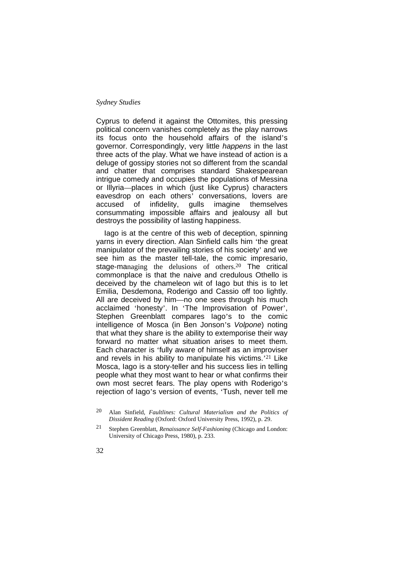Cyprus to defend it against the Ottomites, this pressing political concern vanishes completely as the play narrows its focus onto the household affairs of the island's governor. Correspondingly, very little *happens* in the last three acts of the play. What we have instead of action is a deluge of gossipy stories not so different from the scandal and chatter that comprises standard Shakespearean intrigue comedy and occupies the populations of Messina or Illyria—places in which (just like Cyprus) characters eavesdrop on each others' conversations, lovers are accused of infidelity, gulls imagine themselves consummating impossible affairs and jealousy all but destroys the possibility of lasting happiness.

Iago is at the centre of this web of deception, spinning yarns in every direction. Alan Sinfield calls him 'the great manipulator of the prevailing stories of his society' and we see him as the master tell-tale, the comic impresario, stage-managing the delusions of others.20 The critical commonplace is that the naive and credulous Othello is deceived by the chameleon wit of Iago but this is to let Emilia, Desdemona, Roderigo and Cassio off too lightly. All are deceived by him—no one sees through his much acclaimed 'honesty'. In 'The Improvisation of Power', Stephen Greenblatt compares Iago's to the comic intelligence of Mosca (in Ben Jonson's *Volpone*) noting that what they share is the ability to extemporise their way forward no matter what situation arises to meet them. Each character is 'fully aware of himself as an improviser and revels in his ability to manipulate his victims.'21 Like Mosca, Iago is a story-teller and his success lies in telling people what they most want to hear or what confirms their own most secret fears. The play opens with Roderigo's rejection of Iago's version of events, 'Tush, never tell me

<sup>21</sup> Stephen Greenblatt, *Renaissance Self-Fashioning* (Chicago and London: University of Chicago Press, 1980), p. 233.



<sup>20</sup> Alan Sinfield, *Faultlines: Cultural Materialism and the Politics of Dissident Reading* (Oxford: Oxford University Press, 1992), p. 29.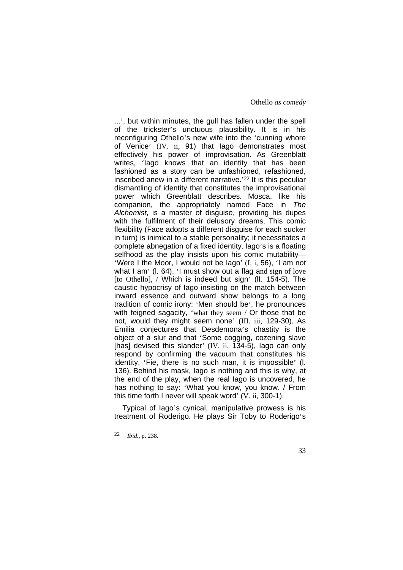...', but within minutes, the gull has fallen under the spell of the trickster's unctuous plausibility. It is in his reconfiguring Othello's new wife into the 'cunning whore of Venice' (IV. ii, 91) that Iago demonstrates most effectively his power of improvisation. As Greenblatt writes, 'Iago knows that an identity that has been fashioned as a story can be unfashioned, refashioned, inscribed anew in a different narrative.'22 It is this peculiar dismantling of identity that constitutes the improvisational power which Greenblatt describes. Mosca, like his companion, the appropriately named Face in *The Alchemist*, is a master of disguise, providing his dupes with the fulfilment of their delusory dreams. This comic flexibility (Face adopts a different disguise for each sucker in turn) is inimical to a stable personality; it necessitates a complete abnegation of a fixed identity. Iago's is a floating selfhood as the play insists upon his comic mutability-'Were I the Moor, I would not be Iago' (I. i, 56), 'I am not what I am' (l. 64), 'I must show out a flag and sign of love [to Othello], / Which is indeed but sign' (ll. 154-5). The caustic hypocrisy of Iago insisting on the match between inward essence and outward show belongs to a long tradition of comic irony: 'Men should be', he pronounces with feigned sagacity, 'what they seem / Or those that be not, would they might seem none' (III. iii, 129-30). As Emilia conjectures that Desdemona's chastity is the object of a slur and that 'Some cogging, cozening slave [has] devised this slander' (IV. ii, 134-5), lago can only respond by confirming the vacuum that constitutes his identity, 'Fie, there is no such man, it is impossible' (l. 136). Behind his mask, Iago is nothing and this is why, at the end of the play, when the real Iago is uncovered, he has nothing to say: 'What you know, you know. / From this time forth I never will speak word' (V. ii, 300-1).

Typical of Iago's cynical, manipulative prowess is his treatment of Roderigo. He plays Sir Toby to Roderigo's

22 *Ibid*., p. 238.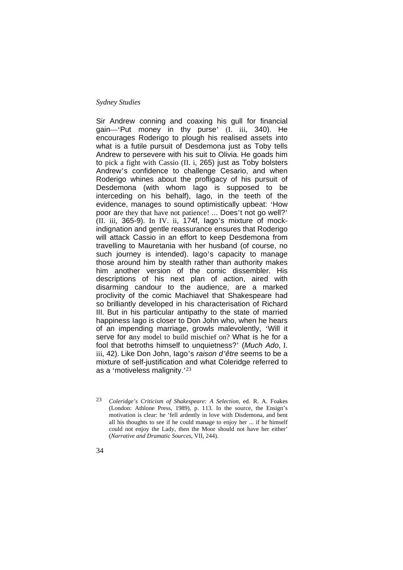Sir Andrew conning and coaxing his gull for financial gain—'Put money in thy purse' (I. iii, 340). He encourages Roderigo to plough his realised assets into what is a futile pursuit of Desdemona just as Toby tells Andrew to persevere with his suit to Olivia. He goads him to pick a fight with Cassio (II. i, 265) just as Toby bolsters Andrew's confidence to challenge Cesario, and when Roderigo whines about the profligacy of his pursuit of Desdemona (with whom Iago is supposed to be interceding on his behalf), Iago, in the teeth of the evidence, manages to sound optimistically upbeat: 'How poor are they that have not patience! ... Does't not go well?' (II. iii, 365-9). In IV. ii, 174f, Iago's mixture of mockindignation and gentle reassurance ensures that Roderigo will attack Cassio in an effort to keep Desdemona from travelling to Mauretania with her husband (of course, no such journey is intended). Iago's capacity to manage those around him by stealth rather than authority makes him another version of the comic dissembler. His descriptions of his next plan of action, aired with disarming candour to the audience, are a marked proclivity of the comic Machiavel that Shakespeare had so brilliantly developed in his characterisation of Richard III. But in his particular antipathy to the state of married happiness Iago is closer to Don John who, when he hears of an impending marriage, growls malevolently, 'Will it serve for any model to build mischief on? What is he for a fool that betroths himself to unquietness?' (*Much Ado*, I. iii, 42). Like Don John, Iago's *raison d'être* seems to be a mixture of self-justification and what Coleridge referred to as a 'motiveless malignity.'23

<sup>23</sup> *Coleridge's Criticism of Shakespeare: A Selection*, ed. R. A. Foakes (London: Athlone Press, 1989), p. 113. In the source, the Ensign's motivation is clear: he 'fell ardently in love with Disdemona, and bent all his thoughts to see if he could manage to enjoy her ... if he himself could not enjoy the Lady, then the Moor should not have her either' (*Narrative and Dramatic Sources*, VII, 244).

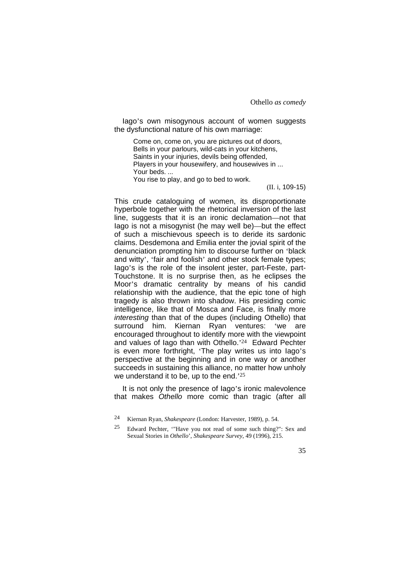Iago's own misogynous account of women suggests the dysfunctional nature of his own marriage:

Come on, come on, you are pictures out of doors, Bells in your parlours, wild-cats in your kitchens, Saints in your injuries, devils being offended, Players in your housewifery, and housewives in ... Your beds. ... You rise to play, and go to bed to work.

(II. i, 109-15)

This crude cataloguing of women, its disproportionate hyperbole together with the rhetorical inversion of the last line, suggests that it is an ironic declamation—not that Iago is not a misogynist (he may well be)—but the effect of such a mischievous speech is to deride its sardonic claims. Desdemona and Emilia enter the jovial spirit of the denunciation prompting him to discourse further on 'black and witty', 'fair and foolish' and other stock female types; lago's is the role of the insolent jester, part-Feste, part-Touchstone. It is no surprise then, as he eclipses the Moor's dramatic centrality by means of his candid relationship with the audience, that the epic tone of high tragedy is also thrown into shadow. His presiding comic intelligence, like that of Mosca and Face, is finally more *interesting* than that of the dupes (including Othello) that surround him. Kiernan Ryan ventures: 'we are encouraged throughout to identify more with the viewpoint and values of Iago than with Othello.'24 Edward Pechter is even more forthright, 'The play writes us into Iago's perspective at the beginning and in one way or another succeeds in sustaining this alliance, no matter how unholy we understand it to be, up to the end.<sup>25</sup>

It is not only the presence of lago's ironic malevolence that makes *Othello* more comic than tragic (after all

<sup>24</sup> Kiernan Ryan, *Shakespeare* (London: Harvester, 1989), p. 54.

<sup>25</sup> Edward Pechter, '"Have you not read of some such thing?": Sex and Sexual Stories in *Othello*', *Shakespeare Survey*, 49 (1996), 215.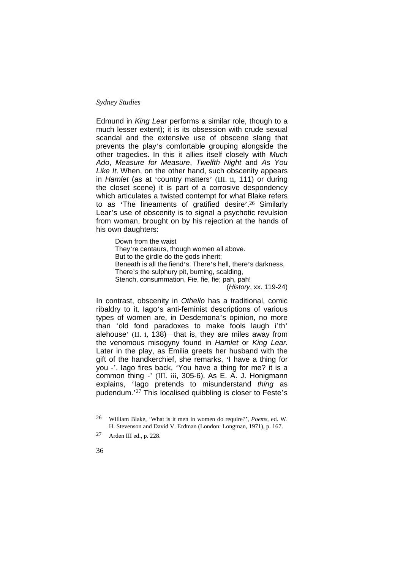Edmund in *King Lear* performs a similar role, though to a much lesser extent); it is its obsession with crude sexual scandal and the extensive use of obscene slang that prevents the play's comfortable grouping alongside the other tragedies. In this it allies itself closely with *Much Ado*, *Measure for Measure*, *Twelfth Night* and *As You Like It*. When, on the other hand, such obscenity appears in *Hamlet* (as at 'country matters' (III. ii, 111) or during the closet scene) it is part of a corrosive despondency which articulates a twisted contempt for what Blake refers to as 'The lineaments of gratified desire'.26 Similarly Lear's use of obscenity is to signal a psychotic revulsion from woman, brought on by his rejection at the hands of his own daughters:

Down from the waist They're centaurs, though women all above. But to the girdle do the gods inherit; Beneath is all the fiend's. There's hell, there's darkness, There's the sulphury pit, burning, scalding, Stench, consummation, Fie, fie, fie; pah, pah!

(*History*, xx. 119-24)

In contrast, obscenity in *Othello* has a traditional, comic ribaldry to it. Iago's anti-feminist descriptions of various types of women are, in Desdemona's opinion, no more than 'old fond paradoxes to make fools laugh i'th' alehouse' (II. i, 138)—that is, they are miles away from the venomous misogyny found in *Hamlet* or *King Lear*. Later in the play, as Emilia greets her husband with the gift of the handkerchief, she remarks, 'I have a thing for you -'. Iago fires back, 'You have a thing for me? it is a common thing -' (III. iii, 305-6). As E. A. J. Honigmann explains, 'Iago pretends to misunderstand *thing* as pudendum.'27 This localised quibbling is closer to Feste's

<sup>27</sup> Arden III ed., p. 228.



<sup>26</sup> William Blake, 'What is it men in women do require?', *Poems*, ed. W. H. Stevenson and David V. Erdman (London: Longman, 1971), p. 167.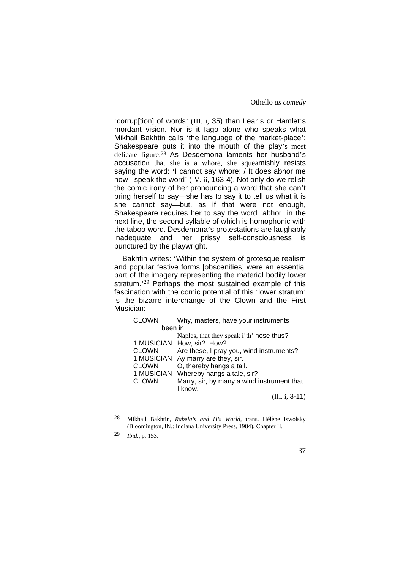'corrup[tion] of words' (III. i, 35) than Lear's or Hamlet's mordant vision. Nor is it Iago alone who speaks what Mikhail Bakhtin calls 'the language of the market-place'; Shakespeare puts it into the mouth of the play's most delicate figure.28 As Desdemona laments her husband's accusation that she is a whore, she squeamishly resists saying the word: 'I cannot say whore: / It does abhor me now I speak the word' (IV. ii, 163-4). Not only do we relish the comic irony of her pronouncing a word that she can't bring herself to say—she has to say it to tell us what it is she cannot say—but, as if that were not enough, Shakespeare requires her to say the word 'abhor' in the next line, the second syllable of which is homophonic with the taboo word. Desdemona's protestations are laughably inadequate and her prissy self-consciousness is punctured by the playwright.

Bakhtin writes: 'Within the system of grotesque realism and popular festive forms [obscenities] were an essential part of the imagery representing the material bodily lower stratum.'29 Perhaps the most sustained example of this fascination with the comic potential of this 'lower stratum' is the bizarre interchange of the Clown and the First Musician:

| <b>CLOWN</b> | Why, masters, have your instruments        |
|--------------|--------------------------------------------|
| been in      |                                            |
|              | Naples, that they speak i'th' nose thus?   |
|              | 1 MUSICIAN How, sir? How?                  |
| <b>CLOWN</b> | Are these, I pray you, wind instruments?   |
| 1 MUSICIAN   | Ay marry are they, sir.                    |
| <b>CLOWN</b> | O, thereby hangs a tail.                   |
| 1 MUSICIAN   | Whereby hangs a tale, sir?                 |
| <b>CLOWN</b> | Marry, sir, by many a wind instrument that |
|              | I know.                                    |
|              | $(III. i, 3-11)$                           |

<sup>28</sup> Mikhail Bakhtin, *Rabelais and His World*, trans. Hélène Iswolsky (Bloomington, IN.: Indiana University Press, 1984), Chapter II.

<sup>29</sup> *Ibid*., p. 153.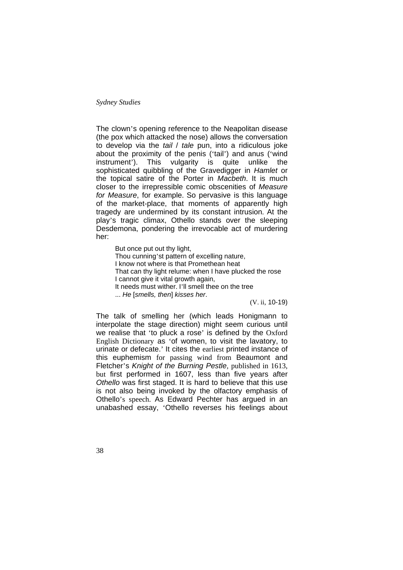The clown's opening reference to the Neapolitan disease (the pox which attacked the nose) allows the conversation to develop via the *tail* / *tale* pun, into a ridiculous joke about the proximity of the penis ('tail') and anus ('wind instrument'). This vulgarity is quite unlike the sophisticated quibbling of the Gravedigger in *Hamlet* or the topical satire of the Porter in *Macbeth*. It is much closer to the irrepressible comic obscenities of *Measure for Measure*, for example. So pervasive is this language of the market-place, that moments of apparently high tragedy are undermined by its constant intrusion. At the play's tragic climax, Othello stands over the sleeping Desdemona, pondering the irrevocable act of murdering her:

But once put out thy light, Thou cunning'st pattern of excelling nature, I know not where is that Promethean heat That can thy light relume: when I have plucked the rose I cannot give it vital growth again, It needs must wither. I'll smell thee on the tree ... *He* [*smells, then*] *kisses her*.

(V. ii, 10-19)

The talk of smelling her (which leads Honigmann to interpolate the stage direction) might seem curious until we realise that 'to pluck a rose' is defined by the Oxford English Dictionary as 'of women, to visit the lavatory, to urinate or defecate.' It cites the earliest printed instance of this euphemism for passing wind from Beaumont and Fletcher's *Knight of the Burning Pestle,* published in 1613, but first performed in 1607, less than five years after *Othello* was first staged. It is hard to believe that this use is not also being invoked by the olfactory emphasis of Othello's speech. As Edward Pechter has argued in an unabashed essay, 'Othello reverses his feelings about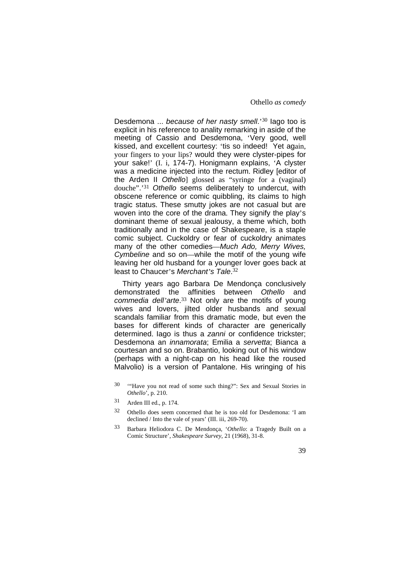Desdemona ... *because of her nasty smell*.'30 Iago too is explicit in his reference to anality remarking in aside of the meeting of Cassio and Desdemona, 'Very good, well kissed, and excellent courtesy: 'tis so indeed! Yet again, your fingers to your lips? would they were clyster-pipes for your sake!' (I. i, 174-7). Honigmann explains, 'A clyster was a medicine injected into the rectum. Ridley [editor of the Arden II *Othello*] glossed as "syringe for a (vaginal) douche".'31 *Othello* seems deliberately to undercut, with obscene reference or comic quibbling, its claims to high tragic status. These smutty jokes are not casual but are woven into the core of the drama. They signify the play's dominant theme of sexual jealousy, a theme which, both traditionally and in the case of Shakespeare, is a staple comic subject. Cuckoldry or fear of cuckoldry animates many of the other comedies—*Much Ado, Merry Wives, Cymbeline* and so on—while the motif of the young wife leaving her old husband for a younger lover goes back at least to Chaucer's *Merchant's Tale*. 32

Thirty years ago Barbara De Mendonça conclusively demonstrated the affinities between *Othello* and *commedia dell'arte*. <sup>33</sup> Not only are the motifs of young wives and lovers, jilted older husbands and sexual scandals familiar from this dramatic mode, but even the bases for different kinds of character are generically determined. Iago is thus a *zanni* or confidence trickster; Desdemona an *innamorata*; Emilia a *servetta*; Bianca a courtesan and so on. Brabantio, looking out of his window (perhaps with a night-cap on his head like the roused Malvolio) is a version of Pantalone. His wringing of his

- 30 '"Have you not read of some such thing?": Sex and Sexual Stories in *Othello*', p. 210.
- 31 Arden III ed., p. 174.
- 32 Othello does seem concerned that he is too old for Desdemona: 'I am declined / Into the vale of years' (III. iii, 269-70).
- 33 Barbara Heliodora C. De Mendonça, '*Othello*: a Tragedy Built on a Comic Structure', *Shakespeare Survey*, 21 (1968), 31-8.